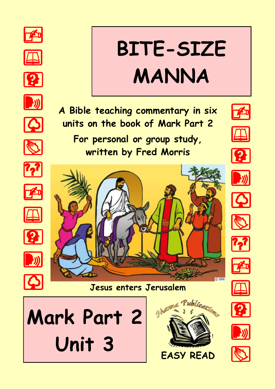























# **BITE-SIZE MANNA**



**For personal or group study, written by Fred Morris**

**Jesus enters Jerusalem**

















C GRN











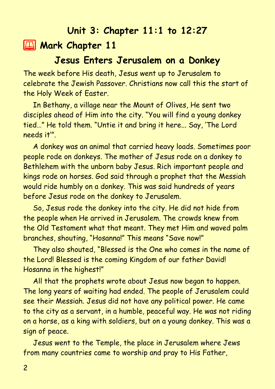# **Unit 3: Chapter 11:1 to 12:27 2** Mark Chapter 11

#### **Jesus Enters Jerusalem on a Donkey**

The week before His death, Jesus went up to Jerusalem to celebrate the Jewish Passover. Christians now call this the start of the Holy Week of Easter.

In Bethany, a village near the Mount of Olives, He sent two disciples ahead of Him into the city. "You will find a young donkey tied…" He told them. "Untie it and bring it here... Say, 'The Lord needs it'".

A donkey was an animal that carried heavy loads. Sometimes poor people rode on donkeys. The mother of Jesus rode on a donkey to Bethlehem with the unborn baby Jesus. Rich important people and kings rode on horses. God said through a prophet that the Messiah would ride humbly on a donkey. This was said hundreds of years before Jesus rode on the donkey to Jerusalem.

So, Jesus rode the donkey into the city. He did not hide from the people when He arrived in Jerusalem. The crowds knew from the Old Testament what that meant. They met Him and waved palm branches, shouting, "Hosanna!" This means "Save now!"

They also shouted, "Blessed is the One who comes in the name of the Lord! Blessed is the coming Kingdom of our father David! Hosanna in the highest!"

All that the prophets wrote about Jesus now began to happen. The long years of waiting had ended. The people of Jerusalem could see their Messiah. Jesus did not have any political power. He came to the city as a servant, in a humble, peaceful way. He was not riding on a horse, as a king with soldiers, but on a young donkey. This was a sign of peace.

Jesus went to the Temple, the place in Jerusalem where Jews from many countries came to worship and pray to His Father,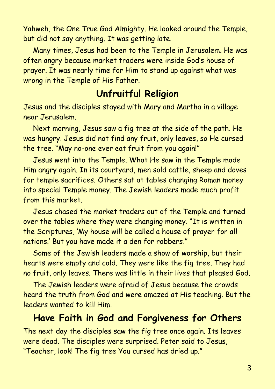Yahweh, the One True God Almighty. He looked around the Temple, but did not say anything. It was getting late.

Many times, Jesus had been to the Temple in Jerusalem. He was often angry because market traders were inside God's house of prayer. It was nearly time for Him to stand up against what was wrong in the Temple of His Father.

# **Unfruitful Religion**

Jesus and the disciples stayed with Mary and Martha in a village near Jerusalem.

Next morning, Jesus saw a fig tree at the side of the path. He was hungry. Jesus did not find any fruit, only leaves, so He cursed the tree. "May no-one ever eat fruit from you again!"

Jesus went into the Temple. What He saw in the Temple made Him angry again. In its courtyard, men sold cattle, sheep and doves for temple sacrifices. Others sat at tables changing Roman money into special Temple money. The Jewish leaders made much profit from this market.

Jesus chased the market traders out of the Temple and turned over the tables where they were changing money. "It is written in the Scriptures, 'My house will be called a house of prayer for all nations.' But you have made it a den for robbers."

Some of the Jewish leaders made a show of worship, but their hearts were empty and cold. They were like the fig tree. They had no fruit, only leaves. There was little in their lives that pleased God.

The Jewish leaders were afraid of Jesus because the crowds heard the truth from God and were amazed at His teaching. But the leaders wanted to kill Him.

# **Have Faith in God and Forgiveness for Others**

The next day the disciples saw the fig tree once again. Its leaves were dead. The disciples were surprised. Peter said to Jesus, "Teacher, look! The fig tree You cursed has dried up."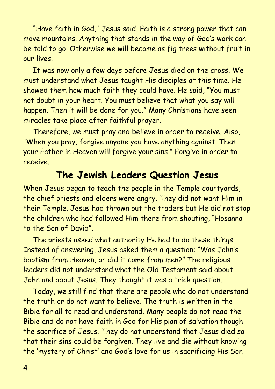"Have faith in God," Jesus said. Faith is a strong power that can move mountains. Anything that stands in the way of God's work can be told to go. Otherwise we will become as fig trees without fruit in our lives.

It was now only a few days before Jesus died on the cross. We must understand what Jesus taught His disciples at this time. He showed them how much faith they could have. He said, "You must not doubt in your heart. You must believe that what you say will happen. Then it will be done for you." Many Christians have seen miracles take place after faithful prayer.

Therefore, we must pray and believe in order to receive. Also, "When you pray, forgive anyone you have anything against. Then your Father in Heaven will forgive your sins." Forgive in order to receive.

#### **The Jewish Leaders Question Jesus**

When Jesus began to teach the people in the Temple courtyards, the chief priests and elders were angry. They did not want Him in their Temple. Jesus had thrown out the traders but He did not stop the children who had followed Him there from shouting, "Hosanna to the Son of David".

The priests asked what authority He had to do these things. Instead of answering, Jesus asked them a question: "Was John's baptism from Heaven, or did it come from men?" The religious leaders did not understand what the Old Testament said about John and about Jesus. They thought it was a trick question.

Today, we still find that there are people who do not understand the truth or do not want to believe. The truth is written in the Bible for all to read and understand. Many people do not read the Bible and do not have faith in God for His plan of salvation though the sacrifice of Jesus. They do not understand that Jesus died so that their sins could be forgiven. They live and die without knowing the 'mystery of Christ' and God's love for us in sacrificing His Son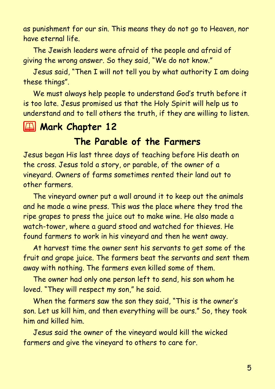as punishment for our sin. This means they do not go to Heaven, nor have eternal life.

The Jewish leaders were afraid of the people and afraid of giving the wrong answer. So they said, "We do not know."

Jesus said, "Then I will not tell you by what authority I am doing these things".

We must always help people to understand God's truth before it is too late. Jesus promised us that the Holy Spirit will help us to understand and to tell others the truth, if they are willing to listen.

# **2 Mark Chapter 12**

# **The Parable of the Farmers**

Jesus began His last three days of teaching before His death on the cross. Jesus told a story, or parable, of the owner of a vineyard. Owners of farms sometimes rented their land out to other farmers.

The vineyard owner put a wall around it to keep out the animals and he made a wine press. This was the place where they trod the ripe grapes to press the juice out to make wine. He also made a watch-tower, where a guard stood and watched for thieves. He found farmers to work in his vineyard and then he went away.

At harvest time the owner sent his servants to get some of the fruit and grape juice. The farmers beat the servants and sent them away with nothing. The farmers even killed some of them.

The owner had only one person left to send, his son whom he loved. "They will respect my son," he said.

When the farmers saw the son they said, "This is the owner's son. Let us kill him, and then everything will be ours." So, they took him and killed him.

Jesus said the owner of the vineyard would kill the wicked farmers and give the vineyard to others to care for.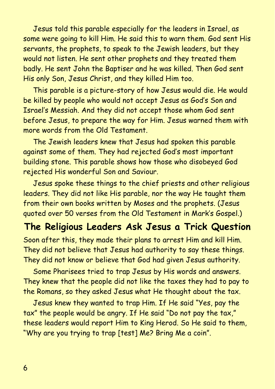Jesus told this parable especially for the leaders in Israel, as some were going to kill Him. He said this to warn them. God sent His servants, the prophets, to speak to the Jewish leaders, but they would not listen. He sent other prophets and they treated them badly. He sent John the Baptiser and he was killed. Then God sent His only Son, Jesus Christ, and they killed Him too.

This parable is a picture-story of how Jesus would die. He would be killed by people who would not accept Jesus as God's Son and Israel's Messiah. And they did not accept those whom God sent before Jesus, to prepare the way for Him. Jesus warned them with more words from the Old Testament.

The Jewish leaders knew that Jesus had spoken this parable against some of them. They had rejected God's most important building stone. This parable shows how those who disobeyed God rejected His wonderful Son and Saviour.

Jesus spoke these things to the chief priests and other religious leaders. They did not like His parable, nor the way He taught them from their own books written by Moses and the prophets. (Jesus quoted over 50 verses from the Old Testament in Mark's Gospel.)

# **The Religious Leaders Ask Jesus a Trick Question**

Soon after this, they made their plans to arrest Him and kill Him. They did not believe that Jesus had authority to say these things. They did not know or believe that God had given Jesus authority.

Some Pharisees tried to trap Jesus by His words and answers. They knew that the people did not like the taxes they had to pay to the Romans, so they asked Jesus what He thought about the tax.

Jesus knew they wanted to trap Him. If He said "Yes, pay the tax" the people would be angry. If He said "Do not pay the tax," these leaders would report Him to King Herod. So He said to them, "Why are you trying to trap [test] Me? Bring Me a coin".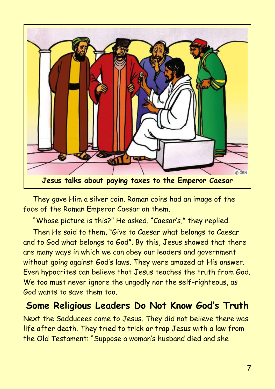

They gave Him a silver coin. Roman coins had an image of the face of the Roman Emperor Caesar on them.

"Whose picture is this?" He asked. "Caesar's," they replied.

Then He said to them, "Give to Caesar what belongs to Caesar and to God what belongs to God". By this, Jesus showed that there are many ways in which we can obey our leaders and government without going against God's laws. They were amazed at His answer. Even hypocrites can believe that Jesus teaches the truth from God. We too must never ignore the ungodly nor the self-righteous, as God wants to save them too.

# **Some Religious Leaders Do Not Know God's Truth**

Next the Sadducees came to Jesus. They did not believe there was life after death. They tried to trick or trap Jesus with a law from the Old Testament: "Suppose a woman's husband died and she